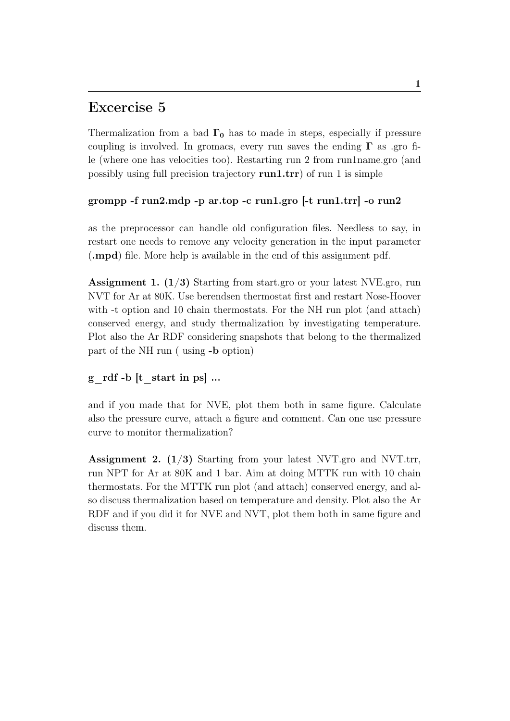## Excercise 5

Thermalization from a bad  $\Gamma_0$  has to made in steps, especially if pressure coupling is involved. In gromacs, every run saves the ending  $\Gamma$  as .gro file (where one has velocities too). Restarting run 2 from run1name.gro (and possibly using full precision trajectory run1.trr) of run 1 is simple

#### grompp -f run2.mdp -p ar.top -c run1.gro [-t run1.trr] -o run2

as the preprocessor can handle old configuration files. Needless to say, in restart one needs to remove any velocity generation in the input parameter (.mpd) file. More help is available in the end of this assignment pdf.

Assignment 1. (1/3) Starting from start.gro or your latest NVE.gro, run NVT for Ar at 80K. Use berendsen thermostat first and restart Nose-Hoover with -t option and 10 chain thermostats. For the NH run plot (and attach) conserved energy, and study thermalization by investigating temperature. Plot also the Ar RDF considering snapshots that belong to the thermalized part of the NH run ( using -b option)

#### g  $\text{rdf }$  -b  $[t \text{ start in ps}]$  ...

and if you made that for NVE, plot them both in same figure. Calculate also the pressure curve, attach a figure and comment. Can one use pressure curve to monitor thermalization?

**Assignment 2.** ( $1/3$ ) Starting from your latest NVT.gro and NVT.trr, run NPT for Ar at 80K and 1 bar. Aim at doing MTTK run with 10 chain thermostats. For the MTTK run plot (and attach) conserved energy, and also discuss thermalization based on temperature and density. Plot also the Ar RDF and if you did it for NVE and NVT, plot them both in same figure and discuss them.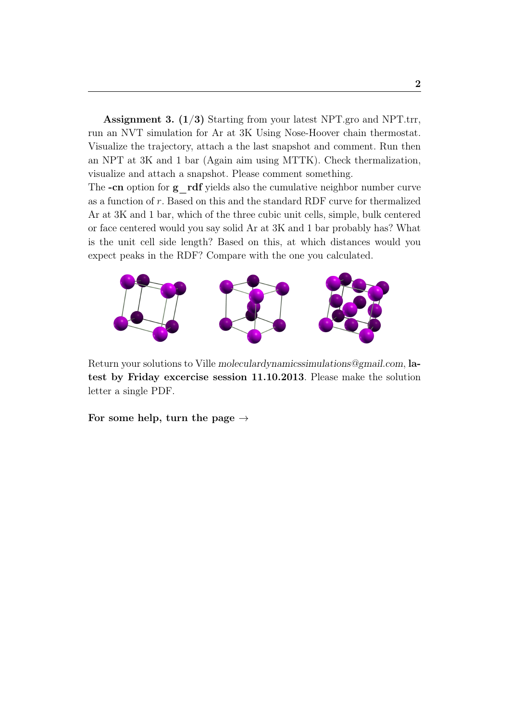**Assignment 3.** ( $1/3$ ) Starting from your latest NPT.gro and NPT.trr, run an NVT simulation for Ar at 3K Using Nose-Hoover chain thermostat. Visualize the trajectory, attach a the last snapshot and comment. Run then an NPT at 3K and 1 bar (Again aim using MTTK). Check thermalization, visualize and attach a snapshot. Please comment something.

The  $-cn$  option for  $g$  rdf yields also the cumulative neighbor number curve as a function of r. Based on this and the standard RDF curve for thermalized Ar at 3K and 1 bar, which of the three cubic unit cells, simple, bulk centered or face centered would you say solid Ar at 3K and 1 bar probably has? What is the unit cell side length? Based on this, at which distances would you expect peaks in the RDF? Compare with the one you calculated.



Return your solutions to Ville moleculardynamicssimulations@gmail.com, latest by Friday excercise session 11.10.2013. Please make the solution letter a single PDF.

For some help, turn the page  $\rightarrow$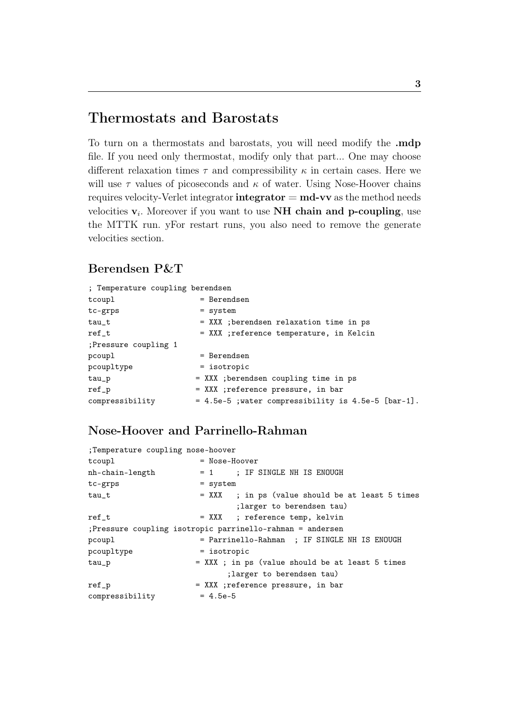## Thermostats and Barostats

To turn on a thermostats and barostats, you will need modify the .mdp file. If you need only thermostat, modify only that part... One may choose different relaxation times  $\tau$  and compressibility  $\kappa$  in certain cases. Here we will use  $\tau$  values of picoseconds and  $\kappa$  of water. Using Nose-Hoover chains requires velocity-Verlet integrator  $integrate$   $m$   $m$  $v$  as the method needs velocities  $v_i$ . Moreover if you want to use NH chain and p-coupling, use the MTTK run. yFor restart runs, you also need to remove the generate velocities section.

### Berendsen P&T

| ; Temperature coupling berendsen |                                                     |
|----------------------------------|-----------------------------------------------------|
| tcoupl                           | = Berendsen                                         |
| tc-grps                          | $=$ system                                          |
| $tau_t$                          | = XXX ; berendsen relaxation time in ps             |
| $ref_t$                          | = XXX ;reference temperature, in Kelcin             |
| ; Pressure coupling 1            |                                                     |
| pcoupl                           | $=$ Berendsen                                       |
| pcoupltype                       | $=$ isotropic                                       |
| $tau_p$                          | = XXX ; berendsen coupling time in ps               |
| $ref_p$                          | = XXX ;reference pressure, in bar                   |
| compressibility                  | = 4.5e-5 ; water compressibility is 4.5e-5 [bar-1]. |

### Nose-Hoover and Parrinello-Rahman

| ;Temperature coupling nose-hoover |                                                            |
|-----------------------------------|------------------------------------------------------------|
| tcoupl                            | $=$ Nose-Hoover                                            |
| nh-chain-length                   | = 1 ; IF SINGLE NH IS ENOUGH                               |
| tc-grps                           | $=$ system                                                 |
| $tau_t$                           | = XXX ; in ps (value should be at least 5 times            |
|                                   | ; larger to berendsen tau)                                 |
| $ref_t$                           | = XXX ; reference temp, kelvin                             |
|                                   | ; Pressure coupling isotropic parrinello-rahman = andersen |
| pcoupl                            | = Parrinello-Rahman ; IF SINGLE NH IS ENOUGH               |
| pcoupltype                        | $=$ isotropic                                              |
| $tau_p$                           | = XXX ; in ps (value should be at least 5 times            |
|                                   | ; larger to berendsen tau)                                 |
| ref_p                             | = XXX ;reference pressure, in bar                          |
| compressibility                   | $= 4.5e-5$                                                 |